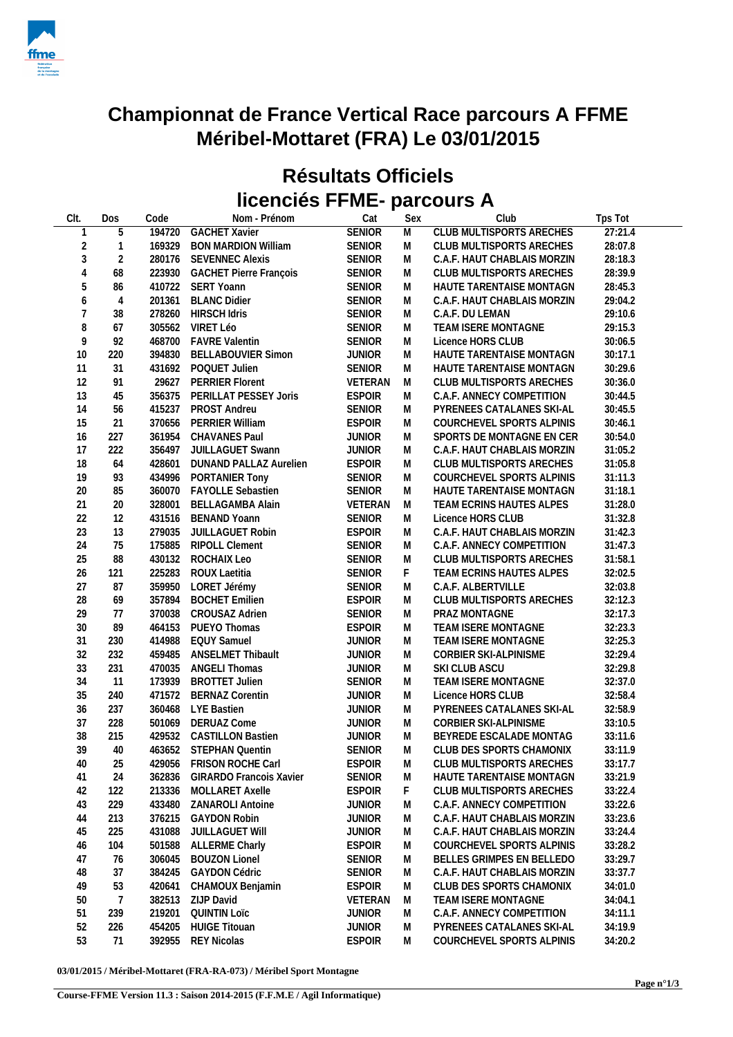

## **Championnat de France Vertical Race parcours A FFME Méribel-Mottaret (FRA) Le 03/01/2015**

## **Résultats Officiels licenciés FFME- parcours A**

| CIt.           | Dos            | Code   | Nom - Prénom                   | Cat           | Sex            | Club                            | Tps Tot |
|----------------|----------------|--------|--------------------------------|---------------|----------------|---------------------------------|---------|
|                | $\overline{5}$ |        | 194720 GACHET Xavier           | <b>SENIOR</b> | $\overline{M}$ | <b>CLUB MULTISPORTS ARECHES</b> | 27:21.4 |
| $\overline{c}$ | $\mathbf{1}$   |        | 169329 BON MARDION William     | <b>SENIOR</b> | M              | CLUB MULTISPORTS ARECHES        | 28:07.8 |
| $\sqrt{3}$     | $\overline{2}$ |        | 280176 SEVENNEC Alexis         | <b>SENIOR</b> | M              | C.A.F. HAUT CHABLAIS MORZIN     | 28:18.3 |
|                |                |        |                                |               |                |                                 |         |
| $\overline{4}$ | 68             |        | 223930 GACHET Pierre François  | <b>SENIOR</b> | M              | CLUB MULTISPORTS ARECHES        | 28:39.9 |
| 5              | 86             |        | 410722 SERT Yoann              | <b>SENIOR</b> | M              | HAUTE TARENTAISE MONTAGN        | 28:45.3 |
| 6              | $\overline{4}$ |        | 201361 BLANC Didier            | <b>SENIOR</b> | M              | C.A.F. HAUT CHABLAIS MORZIN     | 29:04.2 |
| $\overline{7}$ | 38             |        | 278260 HIRSCH Idris            | <b>SENIOR</b> | M              | C.A.F. DU LEMAN                 | 29:10.6 |
| 8              | 67             |        | 305562 VIRET Léo               | <b>SENIOR</b> | M              | TEAM ISERE MONTAGNE             | 29:15.3 |
| 9              | 92             |        | 468700 FAVRE Valentin          | <b>SENIOR</b> | M              | Licence HORS CLUB               | 30:06.5 |
| 10             | 220            |        | 394830 BELLABOUVIER Simon      | <b>JUNIOR</b> | M              | HAUTE TARENTAISE MONTAGN        | 30:17.1 |
| 11             | 31             |        | 431692 POQUET Julien           | <b>SENIOR</b> | M              | HAUTE TARENTAISE MONTAGN        | 30:29.6 |
| 12             | 91             |        | 29627 PERRIER Florent          | VETERAN       | M              | CLUB MULTISPORTS ARECHES        | 30:36.0 |
| 13             | 45             |        | 356375 PERILLAT PESSEY Joris   | <b>ESPOIR</b> | M              | C.A.F. ANNECY COMPETITION       | 30:44.5 |
| 14             | 56             |        | 415237 PROST Andreu            | <b>SENIOR</b> | M              | PYRENEES CATALANES SKI-AL       | 30:45.5 |
| 15             | 21             |        | 370656 PERRIER William         | <b>ESPOIR</b> | M              | COURCHEVEL SPORTS ALPINIS       | 30:46.1 |
| 16             | 227            |        | 361954 CHAVANES Paul           | <b>JUNIOR</b> | M              | SPORTS DE MONTAGNE EN CER       | 30:54.0 |
| 17             | 222            |        | 356497 JUILLAGUET Swann        | <b>JUNIOR</b> | M              | C.A.F. HAUT CHABLAIS MORZIN     | 31:05.2 |
| 18             | 64             |        | 428601 DUNAND PALLAZ Aurelien  | <b>ESPOIR</b> | M              | CLUB MULTISPORTS ARECHES        | 31:05.8 |
| 19             | 93             |        | 434996 PORTANIER Tony          | <b>SENIOR</b> | M              | COURCHEVEL SPORTS ALPINIS       | 31:11.3 |
| 20             | 85             |        | 360070 FAYOLLE Sebastien       | <b>SENIOR</b> | M              | HAUTE TARENTAISE MONTAGN        | 31:18.1 |
| 21             | 20             |        | 328001 BELLAGAMBA Alain        | VETERAN       | M              | TEAM ECRINS HAUTES ALPES        | 31:28.0 |
| 22             | 12             |        | 431516 BENAND Yoann            | <b>SENIOR</b> | M              | Licence HORS CLUB               | 31:32.8 |
|                |                |        |                                |               |                |                                 |         |
| 23             | 13             |        | 279035 JUILLAGUET Robin        | <b>ESPOIR</b> | M              | C.A.F. HAUT CHABLAIS MORZIN     | 31:42.3 |
| 24             | 75             |        | 175885 RIPOLL Clement          | SENIOR        | M              | C.A.F. ANNECY COMPETITION       | 31:47.3 |
| 25             | 88             |        | 430132 ROCHAIX Leo             | <b>SENIOR</b> | M              | CLUB MULTISPORTS ARECHES        | 31:58.1 |
| 26             | 121            |        | 225283 ROUX Laetitia           | <b>SENIOR</b> | F.             | TEAM ECRINS HAUTES ALPES        | 32:02.5 |
| 27             | 87             |        | 359950 LORET Jérémy            | <b>SENIOR</b> | M              | C.A.F. ALBERTVILLE              | 32:03.8 |
| 28             | 69             |        | 357894 BOCHET Emilien          | <b>ESPOIR</b> | M              | CLUB MULTISPORTS ARECHES        | 32:12.3 |
| 29             | 77             |        | 370038 CROUSAZ Adrien          | <b>SENIOR</b> | M              | PRAZ MONTAGNE                   | 32:17.3 |
| 30             | 89             |        | 464153 PUEYO Thomas            | <b>ESPOIR</b> | M              | TEAM ISERE MONTAGNE             | 32:23.3 |
| 31             | 230            |        | 414988 EQUY Samuel             | <b>JUNIOR</b> | M              | TEAM ISERE MONTAGNE             | 32:25.3 |
| 32             | 232            | 459485 | ANSELMET Thibault              | <b>JUNIOR</b> | M              | CORBIER SKI-ALPINISME           | 32:29.4 |
| 33             | 231            |        | 470035 ANGELI Thomas           | <b>JUNIOR</b> | M              | SKI CLUB ASCU                   | 32:29.8 |
| 34             | 11             |        | 173939 BROTTET Julien          | <b>SENIOR</b> | M              | TEAM ISERE MONTAGNE             | 32:37.0 |
| 35             | 240            |        | 471572 BERNAZ Corentin         | <b>JUNIOR</b> | M              | Licence HORS CLUB               | 32:58.4 |
| 36             | 237            |        | 360468 LYE Bastien             | <b>JUNIOR</b> | M              | PYRENEES CATALANES SKI-AL       | 32:58.9 |
| 37             | 228            |        | 501069 DERUAZ Come             | JUNIOR        | M              | CORBIER SKI-ALPINISME           | 33:10.5 |
| 38             | 215            |        | 429532 CASTILLON Bastien       | <b>JUNIOR</b> | M              | BEYREDE ESCALADE MONTAG         | 33:11.6 |
| 39             | 40             |        | 463652 STEPHAN Quentin         | <b>SENIOR</b> | M              | CLUB DES SPORTS CHAMONIX        | 33:11.9 |
| 40             | 25             |        | 429056 FRISON ROCHE Carl       | <b>ESPOIR</b> |                | M CLUB MULTISPORTS ARECHES      | 33:17.7 |
| 41             | 24             | 362836 | <b>GIRARDO Francois Xavier</b> | <b>SENIOR</b> |                | HAUTE TARENTAISE MONTAGN        | 33:21.9 |
| 42             |                |        |                                | <b>ESPOIR</b> | M<br>F         |                                 | 33:22.4 |
|                | 122            | 213336 | MOLLARET Axelle                |               |                | CLUB MULTISPORTS ARECHES        |         |
| 43             | 229            |        | 433480 ZANAROLI Antoine        | <b>JUNIOR</b> | M              | C.A.F. ANNECY COMPETITION       | 33:22.6 |
| 44             | 213            | 376215 | <b>GAYDON Robin</b>            | <b>JUNIOR</b> | M              | C.A.F. HAUT CHABLAIS MORZIN     | 33:23.6 |
| 45             | 225            | 431088 | <b>JUILLAGUET WIII</b>         | <b>JUNIOR</b> | M              | C.A.F. HAUT CHABLAIS MORZIN     | 33:24.4 |
| 46             | 104            | 501588 | <b>ALLERME Charly</b>          | <b>ESPOIR</b> | M              | COURCHEVEL SPORTS ALPINIS       | 33:28.2 |
| 47             | 76             | 306045 | <b>BOUZON Lionel</b>           | <b>SENIOR</b> | M              | BELLES GRIMPES EN BELLEDO       | 33:29.7 |
| 48             | 37             | 384245 | <b>GAYDON Cédric</b>           | <b>SENIOR</b> | M              | C.A.F. HAUT CHABLAIS MORZIN     | 33:37.7 |
| 49             | 53             | 420641 | CHAMOUX Benjamin               | <b>ESPOIR</b> | M              | CLUB DES SPORTS CHAMONIX        | 34:01.0 |
| 50             | 7              | 382513 | ZIJP David                     | VETERAN       | M              | TEAM ISERE MONTAGNE             | 34:04.1 |
| 51             | 239            | 219201 | <b>QUINTIN Loïc</b>            | <b>JUNIOR</b> | M              | C.A.F. ANNECY COMPETITION       | 34:11.1 |
| 52             | 226            | 454205 | <b>HUIGE Titouan</b>           | <b>JUNIOR</b> | M              | PYRENEES CATALANES SKI-AL       | 34:19.9 |
| 53             | 71             | 392955 | <b>REY Nicolas</b>             | <b>ESPOIR</b> | M              | COURCHEVEL SPORTS ALPINIS       | 34:20.2 |
|                |                |        |                                |               |                |                                 |         |

**03/01/2015 / Méribel-Mottaret (FRA-RA-073) / Méribel Sport Montagne**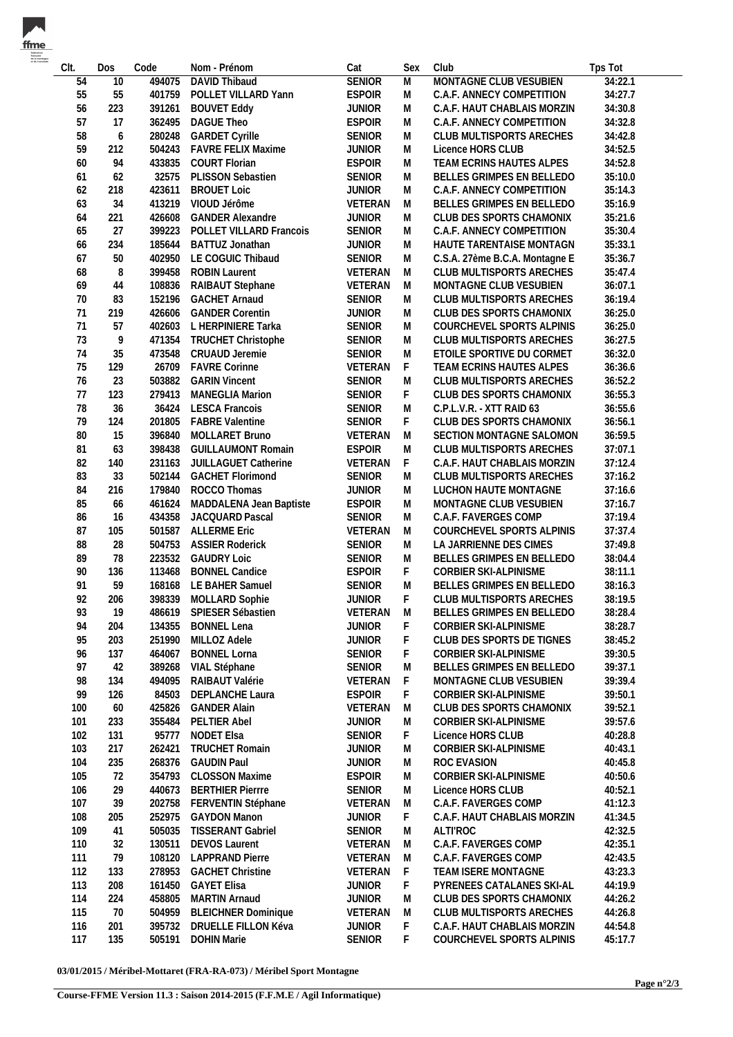| CIt. | Dos              | Code   | Nom - Prénom               | Cat           | Sex | Club                           | Tps Tot |
|------|------------------|--------|----------------------------|---------------|-----|--------------------------------|---------|
| 54   | $\overline{10}$  | 494075 | <b>DAVID Thibaud</b>       | <b>SENIOR</b> | M   | MONTAGNE CLUB VESUBIEN         | 34:22.1 |
| 55   | 55               | 401759 | POLLET VILLARD Yann        | <b>ESPOIR</b> | M   | C.A.F. ANNECY COMPETITION      | 34:27.7 |
| 56   | 223              | 391261 | <b>BOUVET Eddy</b>         | <b>JUNIOR</b> | M   | C.A.F. HAUT CHABLAIS MORZIN    | 34:30.8 |
| 57   | 17               | 362495 | DAGUE Theo                 | <b>ESPOIR</b> | M   | C.A.F. ANNECY COMPETITION      | 34:32.8 |
| 58   | $\boldsymbol{6}$ | 280248 | <b>GARDET Cyrille</b>      | <b>SENIOR</b> | M   | CLUB MULTISPORTS ARECHES       | 34:42.8 |
|      |                  |        |                            |               |     |                                |         |
| 59   | 212              | 504243 | <b>FAVRE FELIX Maxime</b>  | <b>JUNIOR</b> | M   | Licence HORS CLUB              | 34:52.5 |
| 60   | 94               | 433835 | <b>COURT Florian</b>       | <b>ESPOIR</b> | M   | TEAM ECRINS HAUTES ALPES       | 34:52.8 |
| 61   | 62               | 32575  | PLISSON Sebastien          | SENIOR        | M   | BELLES GRIMPES EN BELLEDO      | 35:10.0 |
| 62   | 218              | 423611 | <b>BROUET Loic</b>         | <b>JUNIOR</b> | M   | C.A.F. ANNECY COMPETITION      | 35:14.3 |
| 63   | 34               | 413219 | VIOUD Jérôme               | VETERAN       | M   | BELLES GRIMPES EN BELLEDO      | 35:16.9 |
| 64   | 221              | 426608 | <b>GANDER Alexandre</b>    | <b>JUNIOR</b> | M   | CLUB DES SPORTS CHAMONIX       | 35:21.6 |
| 65   | 27               | 399223 | POLLET VILLARD Francois    | SENIOR        | M   | C.A.F. ANNECY COMPETITION      | 35:30.4 |
| 66   | 234              | 185644 | BATTUZ Jonathan            | <b>JUNIOR</b> | M   | HAUTE TARENTAISE MONTAGN       | 35:33.1 |
| 67   | 50               | 402950 | LE COGUIC Thibaud          | SENIOR        | M   | C.S.A. 27ème B.C.A. Montagne E | 35:36.7 |
| 68   | 8                | 399458 | <b>ROBIN Laurent</b>       | VETERAN       | M   | CLUB MULTISPORTS ARECHES       | 35:47.4 |
| 69   | 44               | 108836 | RAIBAUT Stephane           | VETERAN       | M   | MONTAGNE CLUB VESUBIEN         | 36:07.1 |
| 70   | 83               | 152196 | <b>GACHET Arnaud</b>       | SENIOR        | M   | CLUB MULTISPORTS ARECHES       | 36:19.4 |
|      |                  |        |                            |               |     |                                |         |
| 71   | 219              | 426606 | <b>GANDER Corentin</b>     | <b>JUNIOR</b> | M   | CLUB DES SPORTS CHAMONIX       | 36:25.0 |
| 71   | 57               |        | 402603 L HERPINIERE Tarka  | SENIOR        | M   | COURCHEVEL SPORTS ALPINIS      | 36:25.0 |
| 73   | 9                | 471354 | <b>TRUCHET Christophe</b>  | SENIOR        | M   | CLUB MULTISPORTS ARECHES       | 36:27.5 |
| 74   | 35               | 473548 | CRUAUD Jeremie             | SENIOR        | M   | ETOILE SPORTIVE DU CORMET      | 36:32.0 |
| 75   | 129              | 26709  | <b>FAVRE Corinne</b>       | VETERAN       | F.  | TEAM ECRINS HAUTES ALPES       | 36:36.6 |
| 76   | 23               | 503882 | <b>GARIN Vincent</b>       | SENIOR        | M   | CLUB MULTISPORTS ARECHES       | 36:52.2 |
| 77   | 123              | 279413 | <b>MANEGLIA Marion</b>     | SENIOR        | F   | CLUB DES SPORTS CHAMONIX       | 36:55.3 |
| 78   | 36               |        | 36424 LESCA Francois       | SENIOR        | M   | C.P.L.V.R. - XTT RAID 63       | 36:55.6 |
| 79   | 124              | 201805 | <b>FABRE Valentine</b>     | SENIOR        | F.  | CLUB DES SPORTS CHAMONIX       | 36:56.1 |
| 80   | 15               | 396840 | MOLLARET Bruno             | VETERAN       | M   | SECTION MONTAGNE SALOMON       | 36:59.5 |
|      |                  |        |                            |               |     |                                |         |
| 81   | 63               | 398438 | <b>GUILLAUMONT Romain</b>  | <b>ESPOIR</b> | M   | CLUB MULTISPORTS ARECHES       | 37:07.1 |
| 82   | 140              | 231163 | JUILLAGUET Catherine       | VETERAN       | F.  | C.A.F. HAUT CHABLAIS MORZIN    | 37:12.4 |
| 83   | 33               | 502144 | <b>GACHET Florimond</b>    | SENIOR        | M   | CLUB MULTISPORTS ARECHES       | 37:16.2 |
| 84   | 216              | 179840 | ROCCO Thomas               | <b>JUNIOR</b> | M   | LUCHON HAUTE MONTAGNE          | 37:16.6 |
| 85   | 66               | 461624 | MADDALENA Jean Baptiste    | <b>ESPOIR</b> | M   | MONTAGNE CLUB VESUBIEN         | 37:16.7 |
| 86   | 16               | 434358 | JACQUARD Pascal            | SENIOR        | M   | C.A.F. FAVERGES COMP           | 37:19.4 |
| 87   | 105              | 501587 | <b>ALLERME Eric</b>        | VETERAN       | M   | COURCHEVEL SPORTS ALPINIS      | 37:37.4 |
| 88   | 28               | 504753 | <b>ASSIER Roderick</b>     | SENIOR        | M   | LA JARRIENNE DES CIMES         | 37:49.8 |
| 89   | 78               | 223532 | <b>GAUDRY Loic</b>         | SENIOR        | M   | BELLES GRIMPES EN BELLEDO      | 38:04.4 |
| 90   | 136              | 113468 | <b>BONNEL Candice</b>      | <b>ESPOIR</b> | F   | CORBIER SKI-ALPINISME          | 38:11.1 |
| 91   | 59               | 168168 | LE BAHER Samuel            | SENIOR        | M   | BELLES GRIMPES EN BELLEDO      | 38:16.3 |
|      |                  |        |                            |               |     |                                |         |
| 92   | 206              | 398339 | <b>MOLLARD Sophie</b>      | <b>JUNIOR</b> | F   | CLUB MULTISPORTS ARECHES       | 38:19.5 |
| 93   | 19               | 486619 | SPIESER Sébastien          | VETERAN       | M   | BELLES GRIMPES EN BELLEDO      | 38:28.4 |
| 94   | 204              | 134355 | <b>BONNEL Lena</b>         | <b>JUNIOR</b> | F   | CORBIER SKI-ALPINISME          | 38:28.7 |
| 95   | 203              | 251990 | MILLOZ Adele               | <b>JUNIOR</b> | F   | CLUB DES SPORTS DE TIGNES      | 38:45.2 |
| 96   | 137              | 464067 | <b>BONNEL Lorna</b>        | SENIOR        | F   | CORBIER SKI-ALPINISME          | 39:30.5 |
| 97   | 42               | 389268 | VIAL Stéphane              | SENIOR        | M   | BELLES GRIMPES EN BELLEDO      | 39:37.1 |
| 98   | 134              | 494095 | RAIBAUT Valérie            | VETERAN       | F   | MONTAGNE CLUB VESUBIEN         | 39:39.4 |
| 99   | 126              | 84503  | DEPLANCHE Laura            | <b>ESPOIR</b> | F.  | CORBIER SKI-ALPINISME          | 39:50.1 |
| 100  | 60               | 425826 | <b>GANDER Alain</b>        | VETERAN       | M   | CLUB DES SPORTS CHAMONIX       | 39:52.1 |
|      |                  |        |                            |               |     |                                |         |
| 101  | 233              | 355484 | PELTIER Abel               | <b>JUNIOR</b> | M   | CORBIER SKI-ALPINISME          | 39:57.6 |
| 102  | 131              | 95777  | <b>NODET Elsa</b>          | <b>SENIOR</b> | F.  | Licence HORS CLUB              | 40:28.8 |
| 103  | 217              | 262421 | <b>TRUCHET Romain</b>      | <b>JUNIOR</b> | M   | CORBIER SKI-ALPINISME          | 40:43.1 |
| 104  | 235              | 268376 | <b>GAUDIN Paul</b>         | <b>JUNIOR</b> | M   | ROC EVASION                    | 40:45.8 |
| 105  | 72               | 354793 | <b>CLOSSON Maxime</b>      | <b>ESPOIR</b> | M   | CORBIER SKI-ALPINISME          | 40:50.6 |
| 106  | 29               | 440673 | <b>BERTHIER Pierrre</b>    | <b>SENIOR</b> | M   | Licence HORS CLUB              | 40:52.1 |
| 107  | 39               | 202758 | FERVENTIN Stéphane         | VETERAN       | M   | C.A.F. FAVERGES COMP           | 41:12.3 |
| 108  | 205              | 252975 | <b>GAYDON Manon</b>        | <b>JUNIOR</b> | F.  | C.A.F. HAUT CHABLAIS MORZIN    | 41:34.5 |
| 109  | 41               | 505035 | <b>TISSERANT Gabriel</b>   | SENIOR        | M   | <b>ALTI'ROC</b>                | 42:32.5 |
|      |                  |        |                            |               |     |                                |         |
| 110  | 32               | 130511 | <b>DEVOS Laurent</b>       | VETERAN       | M   | C.A.F. FAVERGES COMP           | 42:35.1 |
| 111  | 79               | 108120 | <b>LAPPRAND Pierre</b>     | VETERAN       | M   | C.A.F. FAVERGES COMP           | 42:43.5 |
| 112  | 133              | 278953 | <b>GACHET Christine</b>    | VETERAN       | F.  | TEAM ISERE MONTAGNE            | 43:23.3 |
| 113  | 208              | 161450 | <b>GAYET Elisa</b>         | <b>JUNIOR</b> | F   | PYRENEES CATALANES SKI-AL      | 44:19.9 |
| 114  | 224              | 458805 | <b>MARTIN Arnaud</b>       | <b>JUNIOR</b> | M   | CLUB DES SPORTS CHAMONIX       | 44:26.2 |
| 115  | 70               | 504959 | <b>BLEICHNER Dominique</b> | VETERAN       | M   | CLUB MULTISPORTS ARECHES       | 44:26.8 |
| 116  | 201              | 395732 | DRUELLE FILLON Kéva        | <b>JUNIOR</b> | F   | C.A.F. HAUT CHABLAIS MORZIN    | 44:54.8 |
| 117  | 135              | 505191 | <b>DOHIN Marie</b>         | SENIOR        | F.  | COURCHEVEL SPORTS ALPINIS      | 45:17.7 |
|      |                  |        |                            |               |     |                                |         |

**03/01/2015 / Méribel-Mottaret (FRA-RA-073) / Méribel Sport Montagne**